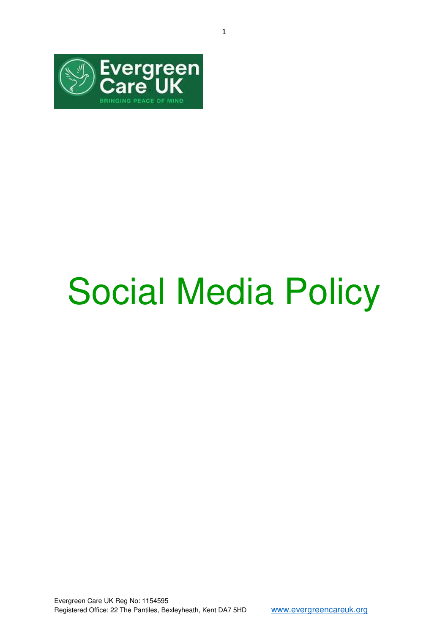

## Social Media Policy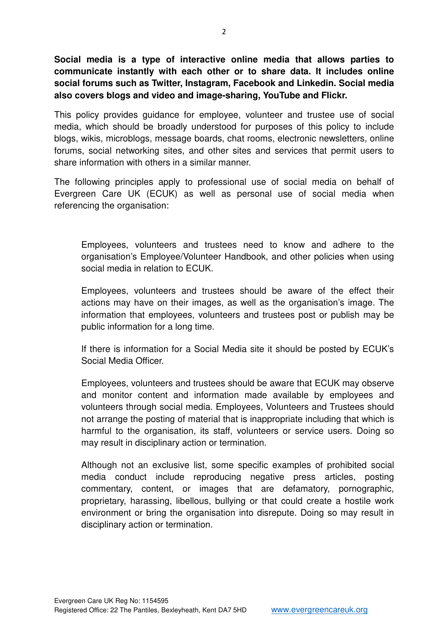**Social media is a type of interactive online media that allows parties to communicate instantly with each other or to share data. It includes online social forums such as Twitter, Instagram, Facebook and Linkedin. Social media also covers blogs and video and image-sharing, YouTube and Flickr.**

This policy provides guidance for employee, volunteer and trustee use of social media, which should be broadly understood for purposes of this policy to include blogs, wikis, microblogs, message boards, chat rooms, electronic newsletters, online forums, social networking sites, and other sites and services that permit users to share information with others in a similar manner.

The following principles apply to professional use of social media on behalf of Evergreen Care UK (ECUK) as well as personal use of social media when referencing the organisation:

Employees, volunteers and trustees need to know and adhere to the organisation's Employee/Volunteer Handbook, and other policies when using social media in relation to ECUK.

Employees, volunteers and trustees should be aware of the effect their actions may have on their images, as well as the organisation's image. The information that employees, volunteers and trustees post or publish may be public information for a long time.

If there is information for a Social Media site it should be posted by ECUK's Social Media Officer.

Employees, volunteers and trustees should be aware that ECUK may observe and monitor content and information made available by employees and volunteers through social media. Employees, Volunteers and Trustees should not arrange the posting of material that is inappropriate including that which is harmful to the organisation, its staff, volunteers or service users. Doing so may result in disciplinary action or termination.

Although not an exclusive list, some specific examples of prohibited social media conduct include reproducing negative press articles, posting commentary, content, or images that are defamatory, pornographic, proprietary, harassing, libellous, bullying or that could create a hostile work environment or bring the organisation into disrepute. Doing so may result in disciplinary action or termination.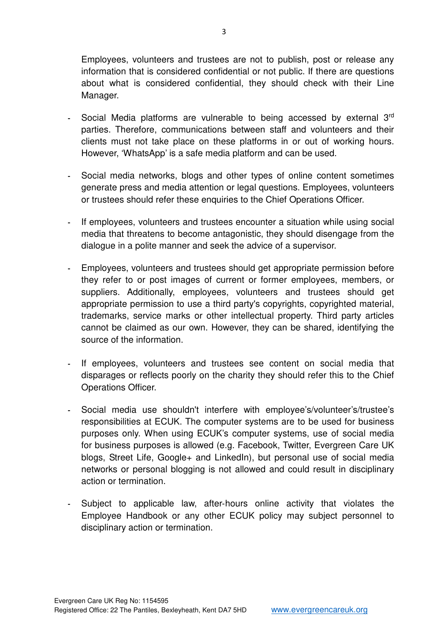Employees, volunteers and trustees are not to publish, post or release any information that is considered confidential or not public. If there are questions about what is considered confidential, they should check with their Line Manager.

- **-** Social Media platforms are vulnerable to being accessed by external 3rd parties. Therefore, communications between staff and volunteers and their clients must not take place on these platforms in or out of working hours. However, 'WhatsApp' is a safe media platform and can be used.
- **-** Social media networks, blogs and other types of online content sometimes generate press and media attention or legal questions. Employees, volunteers or trustees should refer these enquiries to the Chief Operations Officer.
- **-** If employees, volunteers and trustees encounter a situation while using social media that threatens to become antagonistic, they should disengage from the dialogue in a polite manner and seek the advice of a supervisor.
- **-** Employees, volunteers and trustees should get appropriate permission before they refer to or post images of current or former employees, members, or suppliers. Additionally, employees, volunteers and trustees should get appropriate permission to use a third party's copyrights, copyrighted material, trademarks, service marks or other intellectual property. Third party articles cannot be claimed as our own. However, they can be shared, identifying the source of the information.
- **-** If employees, volunteers and trustees see content on social media that disparages or reflects poorly on the charity they should refer this to the Chief Operations Officer.
- **-** Social media use shouldn't interfere with employee's/volunteer's/trustee's responsibilities at ECUK. The computer systems are to be used for business purposes only. When using ECUK's computer systems, use of social media for business purposes is allowed (e.g. Facebook, Twitter, Evergreen Care UK blogs, Street Life, Google+ and LinkedIn), but personal use of social media networks or personal blogging is not allowed and could result in disciplinary action or termination.
- **-** Subject to applicable law, after‐hours online activity that violates the Employee Handbook or any other ECUK policy may subject personnel to disciplinary action or termination.